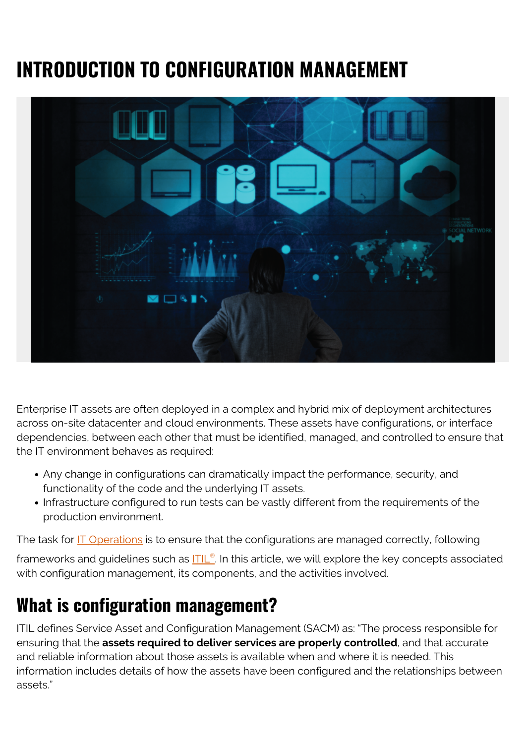# **INTRODUCTION TO CONFIGURATION MANAGEMENT**



Enterprise IT assets are often deployed in a complex and hybrid mix of deployment architectures across on-site datacenter and cloud environments. These assets have configurations, or interface dependencies, between each other that must be identified, managed, and controlled to ensure that the IT environment behaves as required:

- Any change in configurations can dramatically impact the performance, security, and functionality of the code and the underlying IT assets.
- Infrastructure configured to run tests can be vastly different from the requirements of the production environment.

The task for **IT** Operations is to ensure that the configurations are managed correctly, following

frameworks and guidelines such as <mark>[ITIL](https://blogs.bmc.com/blogs/itil-4/)[®](https://blogs.bmc.com/blogs/itil-4/)</mark>. In this article, we will explore the key concepts associated with configuration management, its components, and the activities involved.

# **What is configuration management?**

ITIL defines Service Asset and Configuration Management (SACM) as: "The process responsible for ensuring that the **assets required to deliver services are properly controlled**, and that accurate and reliable information about those assets is available when and where it is needed. This information includes details of how the assets have been configured and the relationships between assets."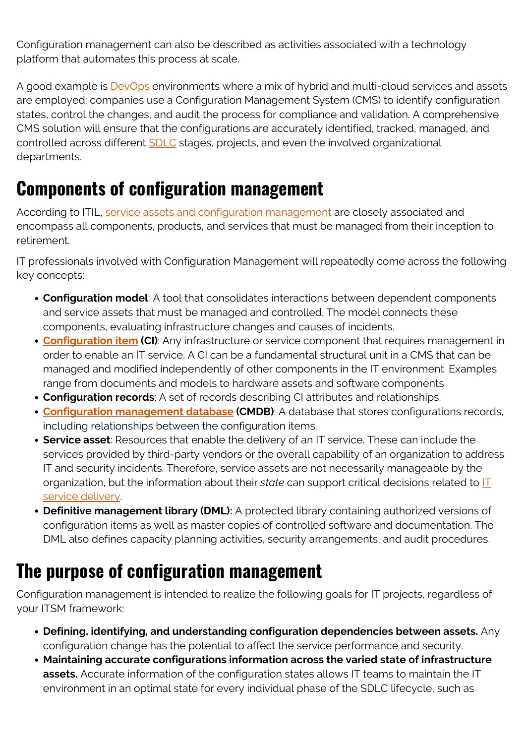Configuration management can also be described as activities associated with a technology platform that automates this process at scale.

A good example is **DevOps** environments where a mix of hybrid and multi-cloud services and assets are employed: companies use a Configuration Management System (CMS) to identify configuration states, control the changes, and audit the process for compliance and validation. A comprehensive CMS solution will ensure that the configurations are accurately identified, tracked, managed, and controlled across different [SDLC](https://blogs.bmc.com/blogs/sdlc-software-development-lifecycle/) stages, projects, and even the involved organizational departments.

#### **Components of configuration management**

According to ITIL, [service assets and configuration management](https://blogs.bmc.com/blogs/asset-management-vs-configuration-management/) are closely associated and encompass all components, products, and services that must be managed from their inception to retirement.

IT professionals involved with Configuration Management will repeatedly come across the following key concepts:

- **Configuration model**: A tool that consolidates interactions between dependent components and service assets that must be managed and controlled. The model connects these components, evaluating infrastructure changes and causes of incidents.
- **[Configuration item](https://blogs.bmc.com/blogs/ci-configuration-item/) (CI)**: Any infrastructure or service component that requires management in order to enable an IT service. A CI can be a fundamental structural unit in a CMS that can be managed and modified independently of other components in the IT environment. Examples range from documents and models to hardware assets and software components.
- **Configuration records**: A set of records describing CI attributes and relationships.
- **[Configuration management database](https://blogs.bmc.com/blogs/what-is-a-cmdb-and-how-to-optimize-it-for-service-delivery/) (CMDB)**: A database that stores configurations records, including relationships between the configuration items.
- **Service asset**: Resources that enable the delivery of an IT service. These can include the services provided by third-party vendors or the overall capability of an organization to address IT and security incidents. Therefore, service assets are not necessarily manageable by the organization, but the information about their *state* can support critical decisions related to [IT](https://blogs.bmc.com/blogs/itil-service-delivery/) [service delivery](https://blogs.bmc.com/blogs/itil-service-delivery/).
- **Definitive management library (DML):** A protected library containing authorized versions of configuration items as well as master copies of controlled software and documentation. The DML also defines capacity planning activities, security arrangements, and audit procedures.

#### **The purpose of configuration management**

Configuration management is intended to realize the following goals for IT projects, regardless of your ITSM framework:

- **Defining, identifying, and understanding configuration dependencies between assets.** Any configuration change has the potential to affect the service performance and security.
- **Maintaining accurate configurations information across the varied state of infrastructure assets.** Accurate information of the configuration states allows IT teams to maintain the IT environment in an optimal state for every individual phase of the SDLC lifecycle, such as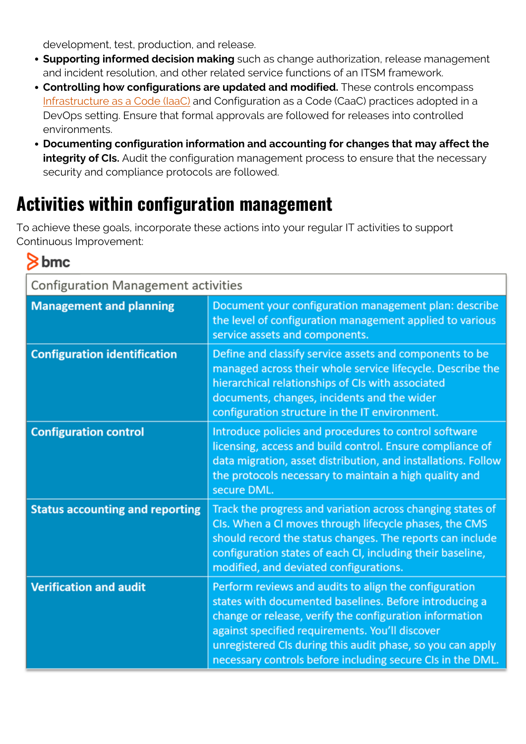development, test, production, and release.

- **Supporting informed decision making** such as change authorization, release management and incident resolution, and other related service functions of an ITSM framework.
- **Controlling how configurations are updated and modified.** These controls encompass [Infrastructure as a Code \(IaaC\)](https://blogs.bmc.com/blogs/infrastructure-as-code/) and Configuration as a Code (CaaC) practices adopted in a DevOps setting. Ensure that formal approvals are followed for releases into controlled environments.
- **Documenting configuration information and accounting for changes that may affect the integrity of CIs.** Audit the configuration management process to ensure that the necessary security and compliance protocols are followed.

### **Activities within configuration management**

To achieve these goals, incorporate these actions into your regular IT activities to support Continuous Improvement:

#### bmc

| <b>Configuration Management activities</b> |                                                                                                                                                                                                                                                                                                                                                           |
|--------------------------------------------|-----------------------------------------------------------------------------------------------------------------------------------------------------------------------------------------------------------------------------------------------------------------------------------------------------------------------------------------------------------|
| <b>Management and planning</b>             | Document your configuration management plan: describe<br>the level of configuration management applied to various<br>service assets and components.                                                                                                                                                                                                       |
| <b>Configuration identification</b>        | Define and classify service assets and components to be<br>managed across their whole service lifecycle. Describe the<br>hierarchical relationships of CIs with associated<br>documents, changes, incidents and the wider<br>configuration structure in the IT environment.                                                                               |
| <b>Configuration control</b>               | Introduce policies and procedures to control software<br>licensing, access and build control. Ensure compliance of<br>data migration, asset distribution, and installations. Follow<br>the protocols necessary to maintain a high quality and<br>secure DML.                                                                                              |
| <b>Status accounting and reporting</b>     | Track the progress and variation across changing states of<br>CIs. When a CI moves through lifecycle phases, the CMS<br>should record the status changes. The reports can include<br>configuration states of each CI, including their baseline,<br>modified, and deviated configurations.                                                                 |
| <b>Verification and audit</b>              | Perform reviews and audits to align the configuration<br>states with documented baselines. Before introducing a<br>change or release, verify the configuration information<br>against specified requirements. You'll discover<br>unregistered CIs during this audit phase, so you can apply<br>necessary controls before including secure CIs in the DML. |